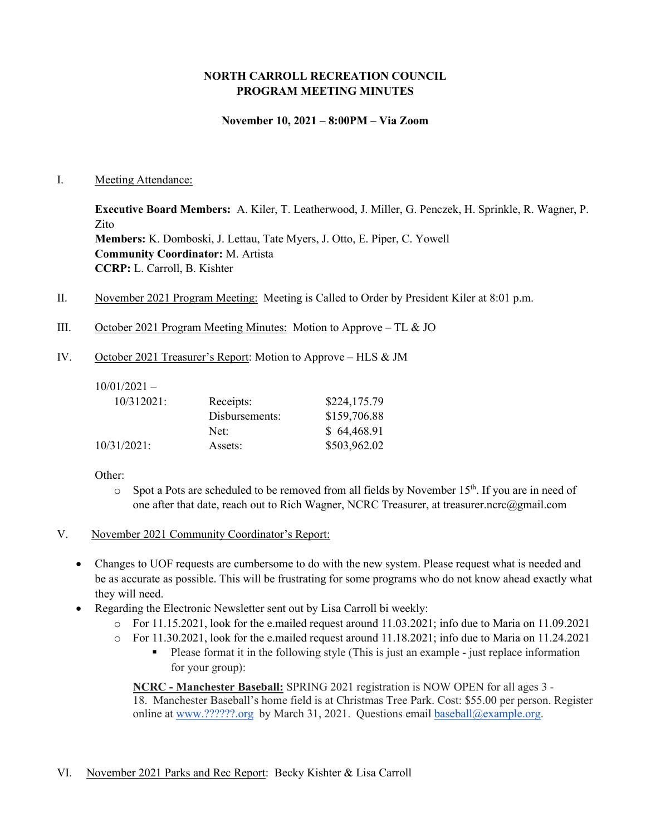### **NORTH CARROLL RECREATION COUNCIL PROGRAM MEETING MINUTES**

#### **November 10, 2021 – 8:00PM – Via Zoom**

#### I. Meeting Attendance:

**Executive Board Members:** A. Kiler, T. Leatherwood, J. Miller, G. Penczek, H. Sprinkle, R. Wagner, P. Zito **Members:** K. Domboski, J. Lettau, Tate Myers, J. Otto, E. Piper, C. Yowell **Community Coordinator:** M. Artista **CCRP:** L. Carroll, B. Kishter

- II. November 2021 Program Meeting: Meeting is Called to Order by President Kiler at 8:01 p.m.
- III. October 2021 Program Meeting Minutes: Motion to Approve TL & JO
- IV. October 2021 Treasurer's Report: Motion to Approve HLS & JM

 $10/01/2021 -$ 

| $10/312021$ :  | Receipts:      | \$224,175.79 |
|----------------|----------------|--------------|
|                | Disbursements: | \$159,706.88 |
|                | Net:           | \$64,468.91  |
| $10/31/2021$ : | Assets:        | \$503,962.02 |
|                |                |              |

Other:

- $\circ$  Spot a Pots are scheduled to be removed from all fields by November 15<sup>th</sup>. If you are in need of one after that date, reach out to Rich Wagner, NCRC Treasurer, at treasurer.ncrc@gmail.com
- V. November 2021 Community Coordinator's Report:
	- Changes to UOF requests are cumbersome to do with the new system. Please request what is needed and be as accurate as possible. This will be frustrating for some programs who do not know ahead exactly what they will need.
	- Regarding the Electronic Newsletter sent out by Lisa Carroll bi weekly:
		- o For 11.15.2021, look for the e.mailed request around 11.03.2021; info due to Maria on 11.09.2021
		- o For 11.30.2021, look for the e.mailed request around 11.18.2021; info due to Maria on 11.24.2021
			- Please format it in the following style (This is just an example just replace information for your group):

**NCRC - Manchester Baseball:** SPRING 2021 registration is NOW OPEN for all ages 3 - 18. Manchester Baseball's home field is at Christmas Tree Park. Cost: \$55.00 per person. Register online at [www.??????.org](http://www.mayaasports.org/) by March 31, 2021. Questions email [baseball@example.org.](mailto:baseball@example.org)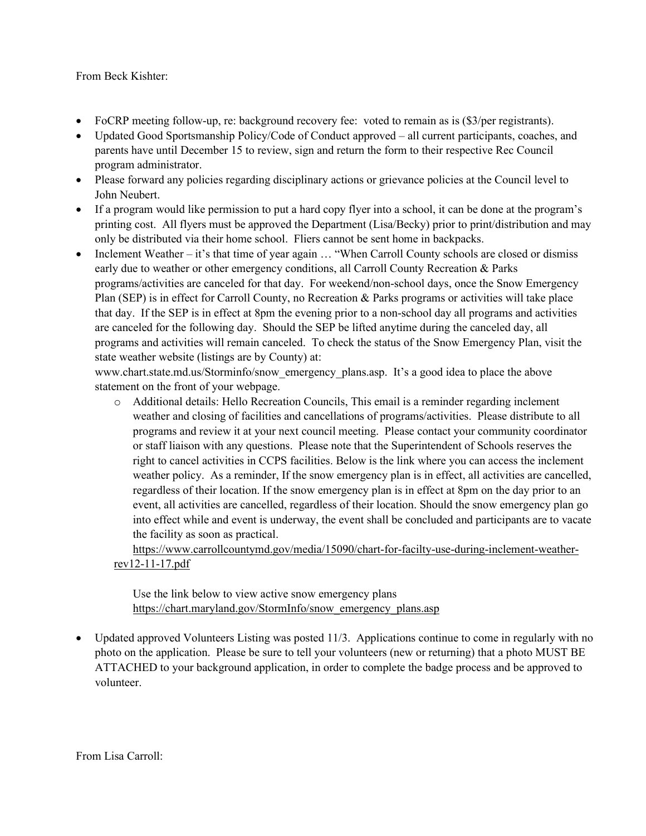#### From Beck Kishter:

- FoCRP meeting follow-up, re: background recovery fee: voted to remain as is  $(\frac{1}{3})$  per registrants).
- Updated Good Sportsmanship Policy/Code of Conduct approved all current participants, coaches, and parents have until December 15 to review, sign and return the form to their respective Rec Council program administrator.
- Please forward any policies regarding disciplinary actions or grievance policies at the Council level to John Neubert.
- If a program would like permission to put a hard copy flyer into a school, it can be done at the program's printing cost. All flyers must be approved the Department (Lisa/Becky) prior to print/distribution and may only be distributed via their home school. Fliers cannot be sent home in backpacks.
- Inclement Weather it's that time of year again ... "When Carroll County schools are closed or dismiss early due to weather or other emergency conditions, all Carroll County Recreation & Parks programs/activities are canceled for that day. For weekend/non-school days, once the Snow Emergency Plan (SEP) is in effect for Carroll County, no Recreation & Parks programs or activities will take place that day. If the SEP is in effect at 8pm the evening prior to a non-school day all programs and activities are canceled for the following day. Should the SEP be lifted anytime during the canceled day, all programs and activities will remain canceled. To check the status of the Snow Emergency Plan, visit the state weather website (listings are by County) at:

www.chart.state.md.us/Storminfo/snow\_emergency\_plans.asp. It's a good idea to place the above statement on the front of your webpage.

o Additional details: Hello Recreation Councils, This email is a reminder regarding inclement weather and closing of facilities and cancellations of programs/activities. Please distribute to all programs and review it at your next council meeting. Please contact your community coordinator or staff liaison with any questions. Please note that the Superintendent of Schools reserves the right to cancel activities in CCPS facilities. Below is the link where you can access the inclement weather policy. As a reminder, If the snow emergency plan is in effect, all activities are cancelled, regardless of their location. If the snow emergency plan is in effect at 8pm on the day prior to an event, all activities are cancelled, regardless of their location. Should the snow emergency plan go into effect while and event is underway, the event shall be concluded and participants are to vacate the facility as soon as practical.

[https://www.carrollcountymd.gov/media/15090/chart-for-facilty-use-during-inclement-weather](https://www.carrollcountymd.gov/media/15090/chart-for-facilty-use-during-inclement-weather-rev12-11-17.pdf)[rev12-11-17.pdf](https://www.carrollcountymd.gov/media/15090/chart-for-facilty-use-during-inclement-weather-rev12-11-17.pdf)

Use the link below to view active snow emergency plans [https://chart.maryland.gov/StormInfo/snow\\_emergency\\_plans.asp](https://chart.maryland.gov/StormInfo/snow_emergency_plans.asp)

• Updated approved Volunteers Listing was posted 11/3. Applications continue to come in regularly with no photo on the application. Please be sure to tell your volunteers (new or returning) that a photo MUST BE ATTACHED to your background application, in order to complete the badge process and be approved to volunteer.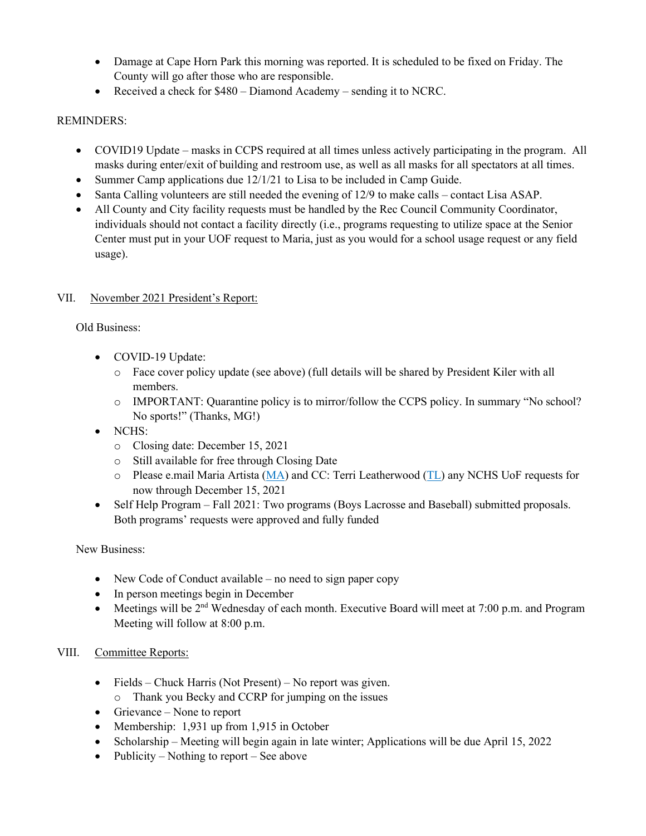- Damage at Cape Horn Park this morning was reported. It is scheduled to be fixed on Friday. The County will go after those who are responsible.
- Received a check for \$480 Diamond Academy sending it to NCRC.

## REMINDERS:

- COVID19 Update masks in CCPS required at all times unless actively participating in the program. All masks during enter/exit of building and restroom use, as well as all masks for all spectators at all times.
- Summer Camp applications due 12/1/21 to Lisa to be included in Camp Guide.
- Santa Calling volunteers are still needed the evening of 12/9 to make calls contact Lisa ASAP.
- All County and City facility requests must be handled by the Rec Council Community Coordinator, individuals should not contact a facility directly (i.e., programs requesting to utilize space at the Senior Center must put in your UOF request to Maria, just as you would for a school usage request or any field usage).

### VII. November 2021 President's Report:

Old Business:

- COVID-19 Update:
	- o Face cover policy update (see above) (full details will be shared by President Kiler with all members.
	- o IMPORTANT: Quarantine policy is to mirror/follow the CCPS policy. In summary "No school? No sports!" (Thanks, MG!)
- NCHS:
	- o Closing date: December 15, 2021
	- o Still available for free through Closing Date
	- o Please e.mail Maria Artista [\(MA\)](mailto:martistancrc18@gmail.com) and CC: Terri Leatherwood [\(TL\)](mailto:tleatherwo@gmail.com) any NCHS UoF requests for now through December 15, 2021
- Self Help Program Fall 2021: Two programs (Boys Lacrosse and Baseball) submitted proposals. Both programs' requests were approved and fully funded

New Business:

- New Code of Conduct available no need to sign paper copy
- In person meetings begin in December
- Meetings will be  $2<sup>nd</sup>$  Wednesday of each month. Executive Board will meet at 7:00 p.m. and Program Meeting will follow at 8:00 p.m.

## VIII. Committee Reports:

- Fields Chuck Harris (Not Present) No report was given.
	- o Thank you Becky and CCRP for jumping on the issues
- Grievance None to report
- Membership: 1,931 up from 1,915 in October
- Scholarship Meeting will begin again in late winter; Applications will be due April 15, 2022
- Publicity Nothing to report See above